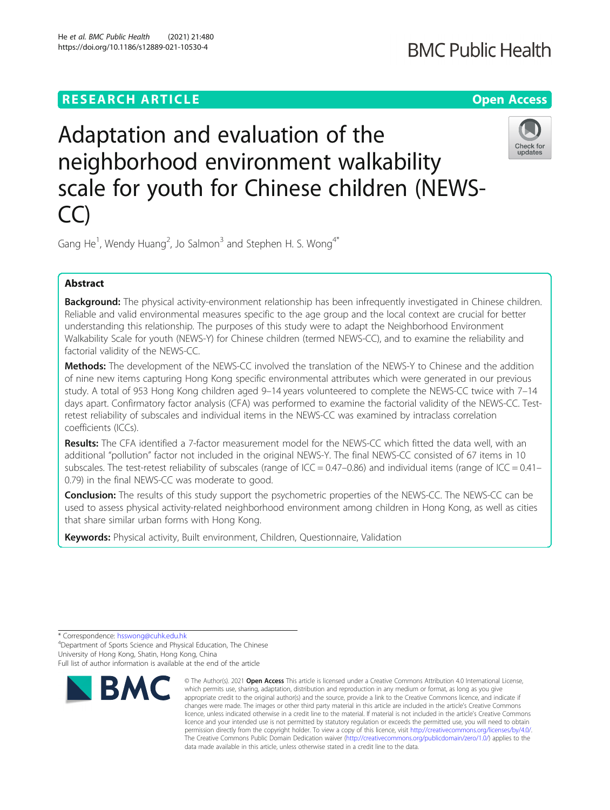## **RESEARCH ARTICLE Example 2014 12:30 The Contract of Contract ACCESS**

# **BMC Public Health**

# Adaptation and evaluation of the neighborhood environment walkability scale for youth for Chinese children (NEWS- $\Gamma$



Gang He<sup>1</sup>, Wendy Huang<sup>2</sup>, Jo Salmon<sup>3</sup> and Stephen H. S. Wong<sup>4\*</sup>

### Abstract

Background: The physical activity-environment relationship has been infrequently investigated in Chinese children. Reliable and valid environmental measures specific to the age group and the local context are crucial for better understanding this relationship. The purposes of this study were to adapt the Neighborhood Environment Walkability Scale for youth (NEWS-Y) for Chinese children (termed NEWS-CC), and to examine the reliability and factorial validity of the NEWS-CC.

**Methods:** The development of the NEWS-CC involved the translation of the NEWS-Y to Chinese and the addition of nine new items capturing Hong Kong specific environmental attributes which were generated in our previous study. A total of 953 Hong Kong children aged 9–14 years volunteered to complete the NEWS-CC twice with 7–14 days apart. Confirmatory factor analysis (CFA) was performed to examine the factorial validity of the NEWS-CC. Testretest reliability of subscales and individual items in the NEWS-CC was examined by intraclass correlation coefficients (ICCs).

Results: The CFA identified a 7-factor measurement model for the NEWS-CC which fitted the data well, with an additional "pollution" factor not included in the original NEWS-Y. The final NEWS-CC consisted of 67 items in 10 subscales. The test-retest reliability of subscales (range of  $ICC = 0.47-0.86$ ) and individual items (range of  $ICC = 0.41-$ 0.79) in the final NEWS-CC was moderate to good.

**Conclusion:** The results of this study support the psychometric properties of the NEWS-CC. The NEWS-CC can be used to assess physical activity-related neighborhood environment among children in Hong Kong, as well as cities that share similar urban forms with Hong Kong.

Keywords: Physical activity, Built environment, Children, Questionnaire, Validation

<sup>4</sup>Department of Sports Science and Physical Education, The Chinese University of Hong Kong, Shatin, Hong Kong, China

Full list of author information is available at the end of the article



<sup>©</sup> The Author(s), 2021 **Open Access** This article is licensed under a Creative Commons Attribution 4.0 International License, which permits use, sharing, adaptation, distribution and reproduction in any medium or format, as long as you give appropriate credit to the original author(s) and the source, provide a link to the Creative Commons licence, and indicate if changes were made. The images or other third party material in this article are included in the article's Creative Commons licence, unless indicated otherwise in a credit line to the material. If material is not included in the article's Creative Commons licence and your intended use is not permitted by statutory regulation or exceeds the permitted use, you will need to obtain permission directly from the copyright holder. To view a copy of this licence, visit [http://creativecommons.org/licenses/by/4.0/.](http://creativecommons.org/licenses/by/4.0/) The Creative Commons Public Domain Dedication waiver [\(http://creativecommons.org/publicdomain/zero/1.0/](http://creativecommons.org/publicdomain/zero/1.0/)) applies to the data made available in this article, unless otherwise stated in a credit line to the data.

<sup>\*</sup> Correspondence: [hsswong@cuhk.edu.hk](mailto:hsswong@cuhk.edu.hk) <sup>4</sup>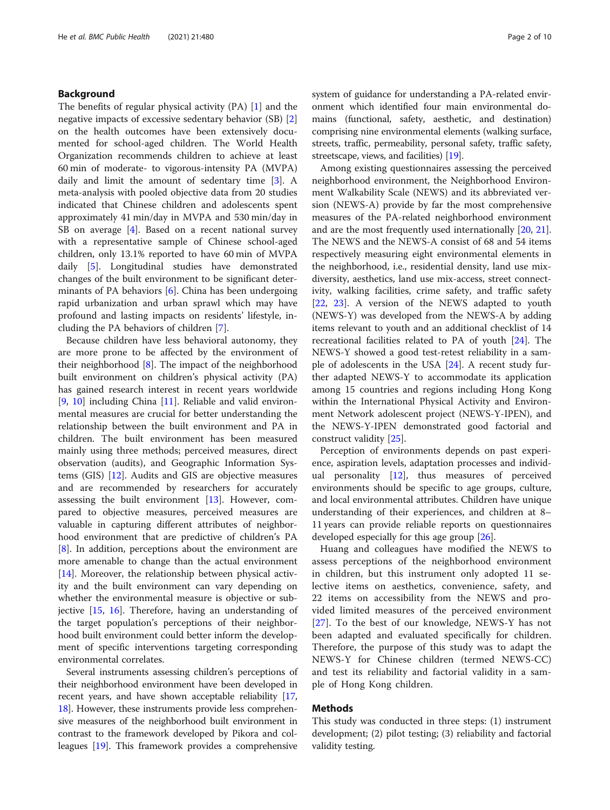#### Background

The benefits of regular physical activity (PA) [\[1\]](#page-8-0) and the negative impacts of excessive sedentary behavior (SB) [\[2](#page-8-0)] on the health outcomes have been extensively documented for school-aged children. The World Health Organization recommends children to achieve at least 60 min of moderate- to vigorous-intensity PA (MVPA) daily and limit the amount of sedentary time [[3\]](#page-8-0). A meta-analysis with pooled objective data from 20 studies indicated that Chinese children and adolescents spent approximately 41 min/day in MVPA and 530 min/day in SB on average [[4\]](#page-8-0). Based on a recent national survey with a representative sample of Chinese school-aged children, only 13.1% reported to have 60 min of MVPA daily [\[5](#page-8-0)]. Longitudinal studies have demonstrated changes of the built environment to be significant determinants of PA behaviors [\[6](#page-8-0)]. China has been undergoing rapid urbanization and urban sprawl which may have profound and lasting impacts on residents' lifestyle, including the PA behaviors of children [\[7](#page-8-0)].

Because children have less behavioral autonomy, they are more prone to be affected by the environment of their neighborhood  $[8]$  $[8]$ . The impact of the neighborhood built environment on children's physical activity (PA) has gained research interest in recent years worldwide [[9,](#page-8-0) [10](#page-8-0)] including China [\[11\]](#page-8-0). Reliable and valid environmental measures are crucial for better understanding the relationship between the built environment and PA in children. The built environment has been measured mainly using three methods; perceived measures, direct observation (audits), and Geographic Information Systems (GIS) [[12\]](#page-8-0). Audits and GIS are objective measures and are recommended by researchers for accurately assessing the built environment  $[13]$  $[13]$ . However, compared to objective measures, perceived measures are valuable in capturing different attributes of neighborhood environment that are predictive of children's PA [[8\]](#page-8-0). In addition, perceptions about the environment are more amenable to change than the actual environment [[14\]](#page-8-0). Moreover, the relationship between physical activity and the built environment can vary depending on whether the environmental measure is objective or subjective [\[15](#page-8-0), [16\]](#page-8-0). Therefore, having an understanding of the target population's perceptions of their neighborhood built environment could better inform the development of specific interventions targeting corresponding environmental correlates.

Several instruments assessing children's perceptions of their neighborhood environment have been developed in recent years, and have shown acceptable reliability [[17](#page-8-0), [18](#page-8-0)]. However, these instruments provide less comprehensive measures of the neighborhood built environment in contrast to the framework developed by Pikora and colleagues [\[19\]](#page-8-0). This framework provides a comprehensive system of guidance for understanding a PA-related environment which identified four main environmental domains (functional, safety, aesthetic, and destination) comprising nine environmental elements (walking surface, streets, traffic, permeability, personal safety, traffic safety, streetscape, views, and facilities) [\[19\]](#page-8-0).

Among existing questionnaires assessing the perceived neighborhood environment, the Neighborhood Environment Walkability Scale (NEWS) and its abbreviated version (NEWS-A) provide by far the most comprehensive measures of the PA-related neighborhood environment and are the most frequently used internationally [[20](#page-8-0), [21](#page-8-0)]. The NEWS and the NEWS-A consist of 68 and 54 items respectively measuring eight environmental elements in the neighborhood, i.e., residential density, land use mixdiversity, aesthetics, land use mix-access, street connectivity, walking facilities, crime safety, and traffic safety [[22,](#page-8-0) [23\]](#page-8-0). A version of the NEWS adapted to youth (NEWS-Y) was developed from the NEWS-A by adding items relevant to youth and an additional checklist of 14 recreational facilities related to PA of youth [\[24](#page-8-0)]. The NEWS-Y showed a good test-retest reliability in a sample of adolescents in the USA [\[24\]](#page-8-0). A recent study further adapted NEWS-Y to accommodate its application among 15 countries and regions including Hong Kong within the International Physical Activity and Environment Network adolescent project (NEWS-Y-IPEN), and the NEWS-Y-IPEN demonstrated good factorial and construct validity [[25](#page-8-0)].

Perception of environments depends on past experience, aspiration levels, adaptation processes and individual personality [[12](#page-8-0)], thus measures of perceived environments should be specific to age groups, culture, and local environmental attributes. Children have unique understanding of their experiences, and children at 8– 11 years can provide reliable reports on questionnaires developed especially for this age group [\[26\]](#page-8-0).

Huang and colleagues have modified the NEWS to assess perceptions of the neighborhood environment in children, but this instrument only adopted 11 selective items on aesthetics, convenience, safety, and 22 items on accessibility from the NEWS and provided limited measures of the perceived environment [[27\]](#page-8-0). To the best of our knowledge, NEWS-Y has not been adapted and evaluated specifically for children. Therefore, the purpose of this study was to adapt the NEWS-Y for Chinese children (termed NEWS-CC) and test its reliability and factorial validity in a sample of Hong Kong children.

#### Methods

This study was conducted in three steps: (1) instrument development; (2) pilot testing; (3) reliability and factorial validity testing.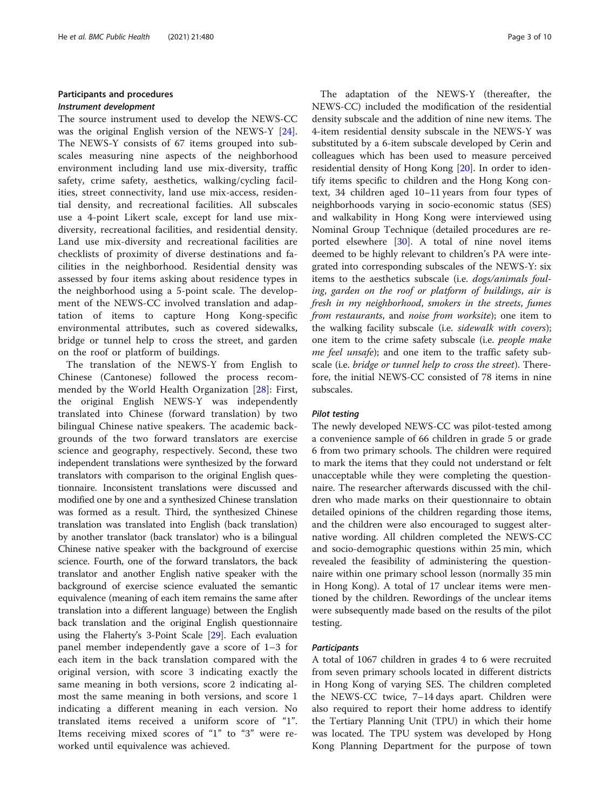#### Participants and procedures Instrument development

The source instrument used to develop the NEWS-CC was the original English version of the NEWS-Y [\[24](#page-8-0)]. The NEWS-Y consists of 67 items grouped into subscales measuring nine aspects of the neighborhood environment including land use mix-diversity, traffic safety, crime safety, aesthetics, walking/cycling facilities, street connectivity, land use mix-access, residential density, and recreational facilities. All subscales use a 4-point Likert scale, except for land use mixdiversity, recreational facilities, and residential density. Land use mix-diversity and recreational facilities are checklists of proximity of diverse destinations and facilities in the neighborhood. Residential density was assessed by four items asking about residence types in the neighborhood using a 5-point scale. The development of the NEWS-CC involved translation and adaptation of items to capture Hong Kong-specific environmental attributes, such as covered sidewalks, bridge or tunnel help to cross the street, and garden on the roof or platform of buildings.

The translation of the NEWS-Y from English to Chinese (Cantonese) followed the process recommended by the World Health Organization [[28](#page-8-0)]: First, the original English NEWS-Y was independently translated into Chinese (forward translation) by two bilingual Chinese native speakers. The academic backgrounds of the two forward translators are exercise science and geography, respectively. Second, these two independent translations were synthesized by the forward translators with comparison to the original English questionnaire. Inconsistent translations were discussed and modified one by one and a synthesized Chinese translation was formed as a result. Third, the synthesized Chinese translation was translated into English (back translation) by another translator (back translator) who is a bilingual Chinese native speaker with the background of exercise science. Fourth, one of the forward translators, the back translator and another English native speaker with the background of exercise science evaluated the semantic equivalence (meaning of each item remains the same after translation into a different language) between the English back translation and the original English questionnaire using the Flaherty's 3-Point Scale [[29](#page-8-0)]. Each evaluation panel member independently gave a score of 1–3 for each item in the back translation compared with the original version, with score 3 indicating exactly the same meaning in both versions, score 2 indicating almost the same meaning in both versions, and score 1 indicating a different meaning in each version. No translated items received a uniform score of "1". Items receiving mixed scores of "1" to "3" were reworked until equivalence was achieved.

The adaptation of the NEWS-Y (thereafter, the NEWS-CC) included the modification of the residential density subscale and the addition of nine new items. The 4-item residential density subscale in the NEWS-Y was substituted by a 6-item subscale developed by Cerin and colleagues which has been used to measure perceived residential density of Hong Kong [\[20\]](#page-8-0). In order to identify items specific to children and the Hong Kong context, 34 children aged 10–11 years from four types of neighborhoods varying in socio-economic status (SES) and walkability in Hong Kong were interviewed using Nominal Group Technique (detailed procedures are re-ported elsewhere [[30\]](#page-8-0). A total of nine novel items deemed to be highly relevant to children's PA were integrated into corresponding subscales of the NEWS-Y: six items to the aesthetics subscale (i.e. dogs/animals fouling, garden on the roof or platform of buildings, air is fresh in my neighborhood, smokers in the streets, fumes from restaurants, and noise from worksite); one item to the walking facility subscale (i.e. sidewalk with covers); one item to the crime safety subscale (i.e. people make me feel unsafe); and one item to the traffic safety subscale (i.e. bridge or tunnel help to cross the street). Therefore, the initial NEWS-CC consisted of 78 items in nine subscales.

#### Pilot testing

The newly developed NEWS-CC was pilot-tested among a convenience sample of 66 children in grade 5 or grade 6 from two primary schools. The children were required to mark the items that they could not understand or felt unacceptable while they were completing the questionnaire. The researcher afterwards discussed with the children who made marks on their questionnaire to obtain detailed opinions of the children regarding those items, and the children were also encouraged to suggest alternative wording. All children completed the NEWS-CC and socio-demographic questions within 25 min, which revealed the feasibility of administering the questionnaire within one primary school lesson (normally 35 min in Hong Kong). A total of 17 unclear items were mentioned by the children. Rewordings of the unclear items were subsequently made based on the results of the pilot testing.

#### **Participants**

A total of 1067 children in grades 4 to 6 were recruited from seven primary schools located in different districts in Hong Kong of varying SES. The children completed the NEWS-CC twice, 7–14 days apart. Children were also required to report their home address to identify the Tertiary Planning Unit (TPU) in which their home was located. The TPU system was developed by Hong Kong Planning Department for the purpose of town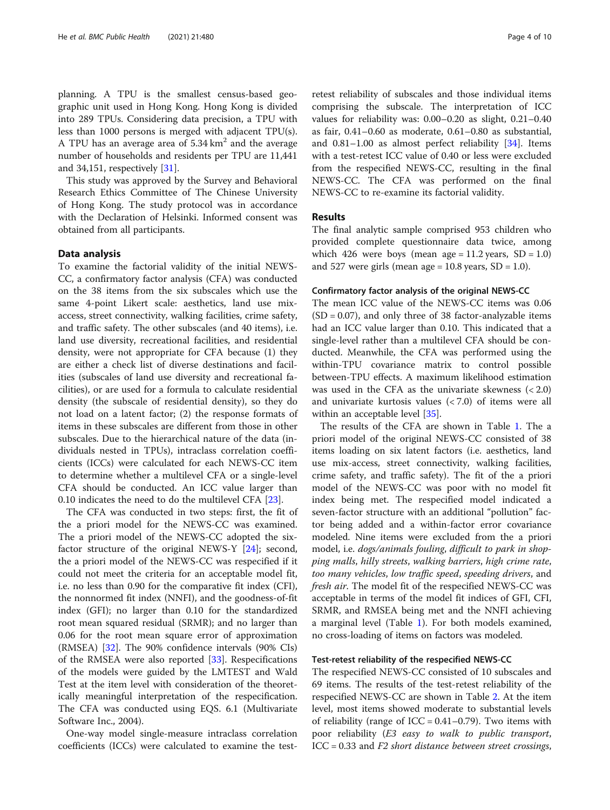planning. A TPU is the smallest census-based geographic unit used in Hong Kong. Hong Kong is divided into 289 TPUs. Considering data precision, a TPU with less than 1000 persons is merged with adjacent TPU(s). A TPU has an average area of  $5.34 \text{ km}^2$  and the average number of households and residents per TPU are 11,441 and 34,151, respectively [[31\]](#page-8-0).

This study was approved by the Survey and Behavioral Research Ethics Committee of The Chinese University of Hong Kong. The study protocol was in accordance with the Declaration of Helsinki. Informed consent was obtained from all participants.

#### Data analysis

To examine the factorial validity of the initial NEWS-CC, a confirmatory factor analysis (CFA) was conducted on the 38 items from the six subscales which use the same 4-point Likert scale: aesthetics, land use mixaccess, street connectivity, walking facilities, crime safety, and traffic safety. The other subscales (and 40 items), i.e. land use diversity, recreational facilities, and residential density, were not appropriate for CFA because (1) they are either a check list of diverse destinations and facilities (subscales of land use diversity and recreational facilities), or are used for a formula to calculate residential density (the subscale of residential density), so they do not load on a latent factor; (2) the response formats of items in these subscales are different from those in other subscales. Due to the hierarchical nature of the data (individuals nested in TPUs), intraclass correlation coefficients (ICCs) were calculated for each NEWS-CC item to determine whether a multilevel CFA or a single-level CFA should be conducted. An ICC value larger than 0.10 indicates the need to do the multilevel CFA [[23\]](#page-8-0).

The CFA was conducted in two steps: first, the fit of the a priori model for the NEWS-CC was examined. The a priori model of the NEWS-CC adopted the sixfactor structure of the original NEWS-Y [[24\]](#page-8-0); second, the a priori model of the NEWS-CC was respecified if it could not meet the criteria for an acceptable model fit, i.e. no less than 0.90 for the comparative fit index (CFI), the nonnormed fit index (NNFI), and the goodness-of-fit index (GFI); no larger than 0.10 for the standardized root mean squared residual (SRMR); and no larger than 0.06 for the root mean square error of approximation (RMSEA) [[32\]](#page-8-0). The 90% confidence intervals (90% CIs) of the RMSEA were also reported [[33](#page-8-0)]. Respecifications of the models were guided by the LMTEST and Wald Test at the item level with consideration of the theoretically meaningful interpretation of the respecification. The CFA was conducted using EQS. 6.1 (Multivariate Software Inc., 2004).

One-way model single-measure intraclass correlation coefficients (ICCs) were calculated to examine the test-

retest reliability of subscales and those individual items comprising the subscale. The interpretation of ICC values for reliability was: 0.00–0.20 as slight, 0.21–0.40 as fair, 0.41–0.60 as moderate, 0.61–0.80 as substantial, and 0.81–1.00 as almost perfect reliability [\[34](#page-8-0)]. Items with a test-retest ICC value of 0.40 or less were excluded from the respecified NEWS-CC, resulting in the final NEWS-CC. The CFA was performed on the final NEWS-CC to re-examine its factorial validity.

#### Results

The final analytic sample comprised 953 children who provided complete questionnaire data twice, among which 426 were boys (mean age =  $11.2$  years, SD =  $1.0$ ) and 527 were girls (mean age =  $10.8$  years, SD =  $1.0$ ).

#### Confirmatory factor analysis of the original NEWS-CC

The mean ICC value of the NEWS-CC items was 0.06  $(SD = 0.07)$ , and only three of 38 factor-analyzable items had an ICC value larger than 0.10. This indicated that a single-level rather than a multilevel CFA should be conducted. Meanwhile, the CFA was performed using the within-TPU covariance matrix to control possible between-TPU effects. A maximum likelihood estimation was used in the CFA as the univariate skewness  $( $2.0$ )$ and univariate kurtosis values (< 7.0) of items were all within an acceptable level [\[35\]](#page-8-0).

The results of the CFA are shown in Table [1](#page-4-0). The a priori model of the original NEWS-CC consisted of 38 items loading on six latent factors (i.e. aesthetics, land use mix-access, street connectivity, walking facilities, crime safety, and traffic safety). The fit of the a priori model of the NEWS-CC was poor with no model fit index being met. The respecified model indicated a seven-factor structure with an additional "pollution" factor being added and a within-factor error covariance modeled. Nine items were excluded from the a priori model, i.e. dogs/animals fouling, difficult to park in shopping malls, hilly streets, walking barriers, high crime rate, too many vehicles, low traffic speed, speeding drivers, and fresh air. The model fit of the respecified NEWS-CC was acceptable in terms of the model fit indices of GFI, CFI, SRMR, and RMSEA being met and the NNFI achieving a marginal level (Table [1](#page-4-0)). For both models examined, no cross-loading of items on factors was modeled.

#### Test-retest reliability of the respecified NEWS-CC

The respecified NEWS-CC consisted of 10 subscales and 69 items. The results of the test-retest reliability of the respecified NEWS-CC are shown in Table [2](#page-5-0). At the item level, most items showed moderate to substantial levels of reliability (range of  $ICC = 0.41 - 0.79)$ . Two items with poor reliability (E3 easy to walk to public transport, ICC = 0.33 and F2 short distance between street crossings,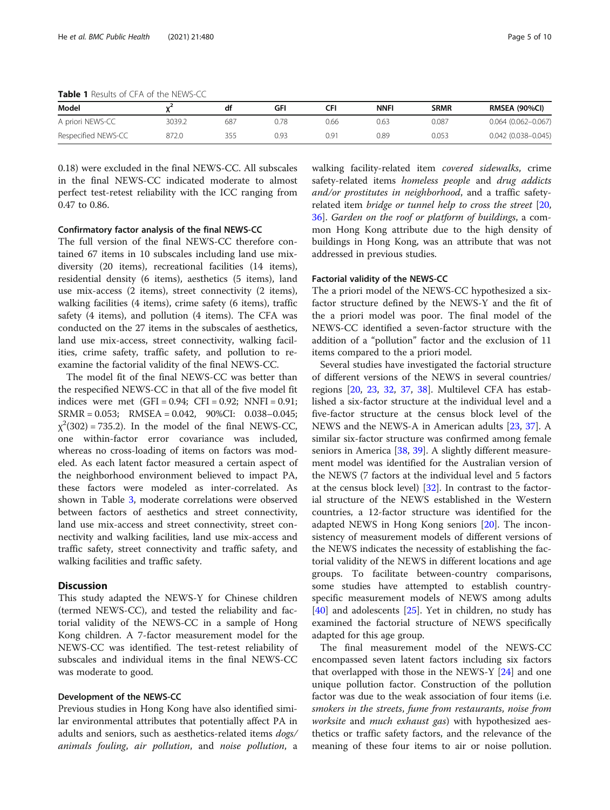<span id="page-4-0"></span>Table 1 Results of CFA of the NEWS-CC

| Model               |        |     | GFI  | CFI  | <b>NNFI</b> | <b>SRMR</b> | RMSEA (90%CI)          |
|---------------------|--------|-----|------|------|-------------|-------------|------------------------|
| A priori NEWS-CC    | 3039.2 | 687 | 0.78 | 0.66 | J.63        | 0.087       | $0.064(0.062 - 0.067)$ |
| Respecified NEWS-CC | 872.0  | 355 | 0.93 | 0.91 | 0.89        | 0.053       | $0.042$ (0.038-0.045)  |

0.18) were excluded in the final NEWS-CC. All subscales in the final NEWS-CC indicated moderate to almost perfect test-retest reliability with the ICC ranging from 0.47 to 0.86.

Confirmatory factor analysis of the final NEWS-CC

The full version of the final NEWS-CC therefore contained 67 items in 10 subscales including land use mixdiversity (20 items), recreational facilities (14 items), residential density (6 items), aesthetics (5 items), land use mix-access (2 items), street connectivity (2 items), walking facilities (4 items), crime safety (6 items), traffic safety (4 items), and pollution (4 items). The CFA was conducted on the 27 items in the subscales of aesthetics, land use mix-access, street connectivity, walking facilities, crime safety, traffic safety, and pollution to reexamine the factorial validity of the final NEWS-CC.

The model fit of the final NEWS-CC was better than the respecified NEWS-CC in that all of the five model fit indices were met  $(GFI = 0.94; CFI = 0.92; NNFI = 0.91;$ SRMR = 0.053; RMSEA = 0.042, 90%CI: 0.038–0.045;  $\chi^2(302) = 735.2$ ). In the model of the final NEWS-CC, one within-factor error covariance was included, whereas no cross-loading of items on factors was modeled. As each latent factor measured a certain aspect of the neighborhood environment believed to impact PA, these factors were modeled as inter-correlated. As shown in Table [3,](#page-7-0) moderate correlations were observed between factors of aesthetics and street connectivity, land use mix-access and street connectivity, street connectivity and walking facilities, land use mix-access and traffic safety, street connectivity and traffic safety, and walking facilities and traffic safety.

#### **Discussion**

This study adapted the NEWS-Y for Chinese children (termed NEWS-CC), and tested the reliability and factorial validity of the NEWS-CC in a sample of Hong Kong children. A 7-factor measurement model for the NEWS-CC was identified. The test-retest reliability of subscales and individual items in the final NEWS-CC was moderate to good.

#### Development of the NEWS-CC

Previous studies in Hong Kong have also identified similar environmental attributes that potentially affect PA in adults and seniors, such as aesthetics-related items dogs/ animals fouling, air pollution, and noise pollution, a

walking facility-related item covered sidewalks, crime safety-related items homeless people and drug addicts and/or prostitutes in neighborhood, and a traffic safetyrelated item bridge or tunnel help to cross the street [[20](#page-8-0), [36\]](#page-8-0). Garden on the roof or platform of buildings, a common Hong Kong attribute due to the high density of buildings in Hong Kong, was an attribute that was not addressed in previous studies.

#### Factorial validity of the NEWS-CC

The a priori model of the NEWS-CC hypothesized a sixfactor structure defined by the NEWS-Y and the fit of the a priori model was poor. The final model of the NEWS-CC identified a seven-factor structure with the addition of a "pollution" factor and the exclusion of 11 items compared to the a priori model.

Several studies have investigated the factorial structure of different versions of the NEWS in several countries/ regions [\[20,](#page-8-0) [23](#page-8-0), [32,](#page-8-0) [37](#page-8-0), [38\]](#page-8-0). Multilevel CFA has established a six-factor structure at the individual level and a five-factor structure at the census block level of the NEWS and the NEWS-A in American adults [[23,](#page-8-0) [37\]](#page-8-0). A similar six-factor structure was confirmed among female seniors in America [\[38,](#page-8-0) [39\]](#page-8-0). A slightly different measurement model was identified for the Australian version of the NEWS (7 factors at the individual level and 5 factors at the census block level) [\[32\]](#page-8-0). In contrast to the factorial structure of the NEWS established in the Western countries, a 12-factor structure was identified for the adapted NEWS in Hong Kong seniors [[20\]](#page-8-0). The inconsistency of measurement models of different versions of the NEWS indicates the necessity of establishing the factorial validity of the NEWS in different locations and age groups. To facilitate between-country comparisons, some studies have attempted to establish countryspecific measurement models of NEWS among adults [[40\]](#page-9-0) and adolescents [\[25\]](#page-8-0). Yet in children, no study has examined the factorial structure of NEWS specifically adapted for this age group.

The final measurement model of the NEWS-CC encompassed seven latent factors including six factors that overlapped with those in the NEWS-Y [\[24](#page-8-0)] and one unique pollution factor. Construction of the pollution factor was due to the weak association of four items (i.e. smokers in the streets, fume from restaurants, noise from worksite and *much exhaust gas*) with hypothesized aesthetics or traffic safety factors, and the relevance of the meaning of these four items to air or noise pollution.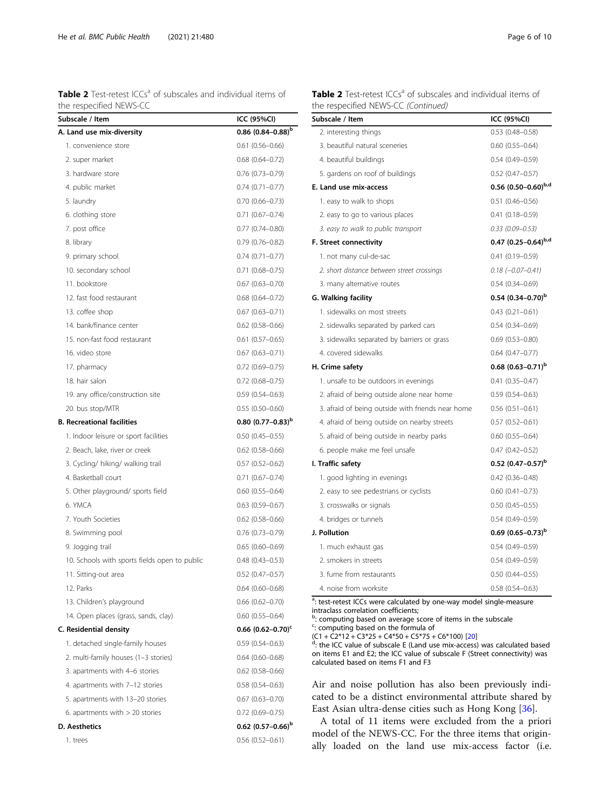<span id="page-5-0"></span>

| <b>Table 2</b> Test-retest ICCs <sup>a</sup> of subscales and individual items of |  |  |
|-----------------------------------------------------------------------------------|--|--|
| the respecified NEWS-CC                                                           |  |  |

| Subscale / Item                               | ICC (95%CI)                     |
|-----------------------------------------------|---------------------------------|
| A. Land use mix-diversity                     | 0.86 $(0.84 - 0.88)^{b}$        |
| 1. convenience store                          | $0.61(0.56 - 0.66)$             |
| 2. super market                               | $0.68$ $(0.64 - 0.72)$          |
| 3. hardware store                             | $0.76$ (0.73-0.79)              |
| 4. public market                              | $0.74(0.71 - 0.77)$             |
| 5. laundry                                    | $0.70(0.66 - 0.73)$             |
| 6. clothing store                             | $0.71(0.67 - 0.74)$             |
| 7. post office                                | $0.77(0.74 - 0.80)$             |
| 8. library                                    | $0.79(0.76 - 0.82)$             |
| 9. primary school                             | $0.74(0.71 - 0.77)$             |
| 10. secondary school                          | $0.71$ $(0.68 - 0.75)$          |
| 11. bookstore                                 | $0.67$ $(0.63 - 0.70)$          |
| 12. fast food restaurant                      | $0.68$ $(0.64 - 0.72)$          |
| 13. coffee shop                               | $0.67(0.63 - 0.71)$             |
| 14. bank/finance center                       | $0.62$ $(0.58 - 0.66)$          |
| 15. non-fast food restaurant                  | $0.61(0.57-0.65)$               |
| 16. video store                               | $0.67(0.63 - 0.71)$             |
| 17. pharmacy                                  | $0.72$ (0.69-0.75)              |
| 18. hair salon                                | $0.72$ (0.68-0.75)              |
| 19. any office/construction site              | $0.59(0.54 - 0.63)$             |
| 20. bus stop/MTR                              | $0.55(0.50 - 0.60)$             |
| <b>B. Recreational facilities</b>             | $0.80$ (0.77-0.83) <sup>b</sup> |
| 1. Indoor leisure or sport facilities         | $0.50(0.45 - 0.55)$             |
| 2. Beach, lake, river or creek                | $0.62(0.58 - 0.66)$             |
| 3. Cycling/ hiking/ walking trail             | $0.57(0.52 - 0.62)$             |
| 4. Basketball court                           | $0.71$ $(0.67 - 0.74)$          |
| 5. Other playground/ sports field             | $0.60(0.55 - 0.64)$             |
| 6. YMCA                                       | $0.63$ $(0.59 - 0.67)$          |
| 7. Youth Societies                            | $0.62$ (0.58-0.66)              |
| 8. Swimming pool                              | $0.76(0.73 - 0.79)$             |
| 9. Jogging trail                              | $0.65(0.60 - 0.69)$             |
| 10. Schools with sports fields open to public | $0.48(0.43 - 0.53)$             |
| 11. Sitting-out area                          | $0.52(0.47 - 0.57)$             |
| 12. Parks                                     | $0.64(0.60 - 0.68)$             |
| 13. Children's playground                     | $0.66$ $(0.62 - 0.70)$          |
| 14. Open places (grass, sands, clay)          | $0.60(0.55 - 0.64)$             |
| C. Residential density                        | $0.66$ (0.62-0.70) <sup>c</sup> |
| 1. detached single-family houses              | $0.59(0.54 - 0.63)$             |
| 2. multi-family houses (1-3 stories)          | $0.64(0.60 - 0.68)$             |
| 3. apartments with 4-6 stories                | $0.62(0.58 - 0.66)$             |
| 4. apartments with 7-12 stories               | $0.58(0.54 - 0.63)$             |
| 5. apartments with 13-20 stories              | $0.67$ $(0.63 - 0.70)$          |
| 6. apartments with $>$ 20 stories             | $0.72$ (0.69-0.75)              |
| D. Aesthetics                                 | $0.62$ (0.57-0.66) <sup>b</sup> |
| 1. trees                                      | $0.56(0.52 - 0.61)$             |

| <b>Table 2</b> Test-retest ICCs <sup>a</sup> of subscales and individual items of |  |  |  |
|-----------------------------------------------------------------------------------|--|--|--|
| the respecified NEWS-CC (Continued)                                               |  |  |  |

| Subscale / Item                                   | ICC (95%CI)                     |
|---------------------------------------------------|---------------------------------|
| 2. interesting things                             | $0.53(0.48 - 0.58)$             |
| 3. beautiful natural sceneries                    | $0.60(0.55 - 0.64)$             |
| 4. beautiful buildings                            | $0.54(0.49 - 0.59)$             |
| 5. gardens on roof of buildings                   | $0.52$ (0.47-0.57)              |
| E. Land use mix-access                            | 0.56 $(0.50-0.60)^{b,d}$        |
| 1. easy to walk to shops                          | $0.51(0.46 - 0.56)$             |
| 2. easy to go to various places                   | $0.41(0.18 - 0.59)$             |
| 3. easy to walk to public transport               | $0.33(0.09 - 0.53)$             |
| F. Street connectivity                            | 0.47 $(0.25-0.64)^{b,d}$        |
| 1. not many cul-de-sac                            | $0.41(0.19 - 0.59)$             |
| 2. short distance between street crossings        | $0.18 (-0.07 - 0.41)$           |
| 3. many alternative routes                        | $0.54(0.34 - 0.69)$             |
| G. Walking facility                               | 0.54 $(0.34 - 0.70)^{b}$        |
| 1. sidewalks on most streets                      | $0.43(0.21 - 0.61)$             |
| 2. sidewalks separated by parked cars             | $0.54(0.34 - 0.69)$             |
| 3. sidewalks separated by barriers or grass       | $0.69(0.53 - 0.80)$             |
| 4. covered sidewalks                              | $0.64(0.47 - 0.77)$             |
| H. Crime safety                                   | $0.68$ (0.63-0.71) <sup>b</sup> |
| 1. unsafe to be outdoors in evenings              | $0.41(0.35 - 0.47)$             |
| 2. afraid of being outside alone near home        | $0.59(0.54 - 0.63)$             |
| 3. afraid of being outside with friends near home | $0.56(0.51 - 0.61)$             |
| 4. afraid of being outside on nearby streets      | $0.57(0.52 - 0.61)$             |
| 5. afraid of being outside in nearby parks        | $0.60$ $(0.55 - 0.64)$          |
| 6. people make me feel unsafe                     | $0.47(0.42 - 0.52)$             |
| I. Traffic safety                                 | 0.52 $(0.47-0.57)^{b}$          |
| 1. good lighting in evenings                      | $0.42(0.36 - 0.48)$             |
| 2. easy to see pedestrians or cyclists            | $0.60(0.41 - 0.73)$             |
| 3. crosswalks or signals                          | $0.50(0.45 - 0.55)$             |
| 4. bridges or tunnels                             | $0.54(0.49 - 0.59)$             |
| J. Pollution                                      | 0.69 $(0.65 - 0.73)^{b}$        |
| 1. much exhaust gas                               | $0.54(0.49 - 0.59)$             |
| 2. smokers in streets                             | $0.54(0.49 - 0.59)$             |
| 3. fume from restaurants                          | $0.50$ $(0.44 - 0.55)$          |
| 4. noise from worksite                            | $0.58(0.54 - 0.63)$             |

<sup>a</sup>: test-retest ICCs were calculated by one-way model single-measure

intraclass correlation coefficients; b : computing based on average score of items in the subscale <sup>c</sup>: computing based on the formula of

 $(C1 + C2*12 + C3*25 + C4*50 + C5*75 + C6*100)$  [[20](#page-8-0)]<br><sup>d</sup>: the ICC value of subscale E (Land use mix-access) was calculated based on items E1 and E2; the ICC value of subscale F (Street connectivity) was calculated based on items F1 and F3

Air and noise pollution has also been previously indicated to be a distinct environmental attribute shared by East Asian ultra-dense cities such as Hong Kong [[36\]](#page-8-0).

A total of 11 items were excluded from the a priori model of the NEWS-CC. For the three items that originally loaded on the land use mix-access factor (i.e.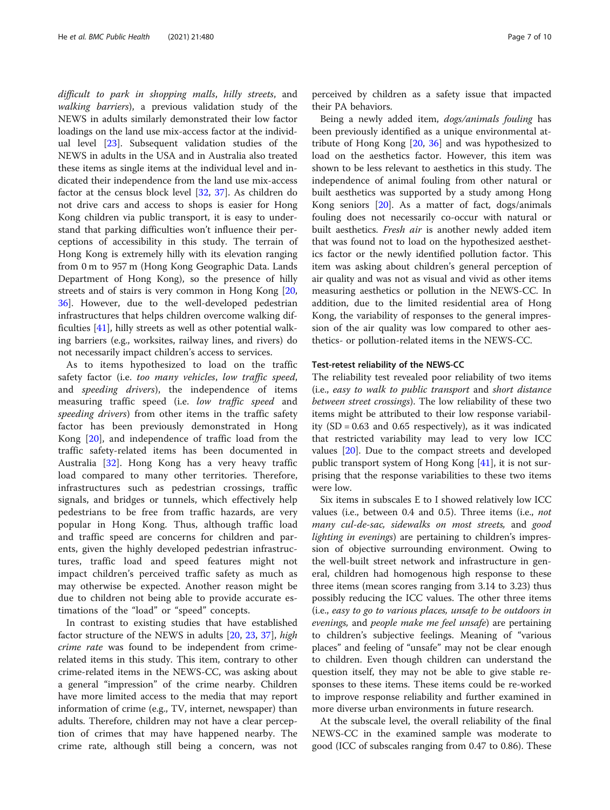difficult to park in shopping malls, hilly streets, and walking barriers), a previous validation study of the NEWS in adults similarly demonstrated their low factor loadings on the land use mix-access factor at the individual level [\[23](#page-8-0)]. Subsequent validation studies of the NEWS in adults in the USA and in Australia also treated these items as single items at the individual level and indicated their independence from the land use mix-access factor at the census block level [[32,](#page-8-0) [37](#page-8-0)]. As children do not drive cars and access to shops is easier for Hong Kong children via public transport, it is easy to understand that parking difficulties won't influence their perceptions of accessibility in this study. The terrain of Hong Kong is extremely hilly with its elevation ranging from 0 m to 957 m (Hong Kong Geographic Data. Lands Department of Hong Kong), so the presence of hilly streets and of stairs is very common in Hong Kong [[20](#page-8-0), [36\]](#page-8-0). However, due to the well-developed pedestrian infrastructures that helps children overcome walking difficulties [[41](#page-9-0)], hilly streets as well as other potential walking barriers (e.g., worksites, railway lines, and rivers) do not necessarily impact children's access to services.

As to items hypothesized to load on the traffic safety factor (i.e. too many vehicles, low traffic speed, and *speeding drivers*), the independence of items measuring traffic speed (i.e. low traffic speed and speeding drivers) from other items in the traffic safety factor has been previously demonstrated in Hong Kong [[20\]](#page-8-0), and independence of traffic load from the traffic safety-related items has been documented in Australia [[32\]](#page-8-0). Hong Kong has a very heavy traffic load compared to many other territories. Therefore, infrastructures such as pedestrian crossings, traffic signals, and bridges or tunnels, which effectively help pedestrians to be free from traffic hazards, are very popular in Hong Kong. Thus, although traffic load and traffic speed are concerns for children and parents, given the highly developed pedestrian infrastructures, traffic load and speed features might not impact children's perceived traffic safety as much as may otherwise be expected. Another reason might be due to children not being able to provide accurate estimations of the "load" or "speed" concepts.

In contrast to existing studies that have established factor structure of the NEWS in adults [\[20](#page-8-0), [23](#page-8-0), [37\]](#page-8-0), high crime rate was found to be independent from crimerelated items in this study. This item, contrary to other crime-related items in the NEWS-CC, was asking about a general "impression" of the crime nearby. Children have more limited access to the media that may report information of crime (e.g., TV, internet, newspaper) than adults. Therefore, children may not have a clear perception of crimes that may have happened nearby. The crime rate, although still being a concern, was not

perceived by children as a safety issue that impacted their PA behaviors.

Being a newly added item, dogs/animals fouling has been previously identified as a unique environmental attribute of Hong Kong [\[20,](#page-8-0) [36\]](#page-8-0) and was hypothesized to load on the aesthetics factor. However, this item was shown to be less relevant to aesthetics in this study. The independence of animal fouling from other natural or built aesthetics was supported by a study among Hong Kong seniors [\[20](#page-8-0)]. As a matter of fact, dogs/animals fouling does not necessarily co-occur with natural or built aesthetics. Fresh air is another newly added item that was found not to load on the hypothesized aesthetics factor or the newly identified pollution factor. This item was asking about children's general perception of air quality and was not as visual and vivid as other items measuring aesthetics or pollution in the NEWS-CC. In addition, due to the limited residential area of Hong Kong, the variability of responses to the general impression of the air quality was low compared to other aesthetics- or pollution-related items in the NEWS-CC.

#### Test-retest reliability of the NEWS-CC

The reliability test revealed poor reliability of two items (i.e., easy to walk to public transport and short distance between street crossings). The low reliability of these two items might be attributed to their low response variability  $(SD = 0.63$  and  $0.65$  respectively), as it was indicated that restricted variability may lead to very low ICC values [\[20](#page-8-0)]. Due to the compact streets and developed public transport system of Hong Kong [\[41\]](#page-9-0), it is not surprising that the response variabilities to these two items were low.

Six items in subscales E to I showed relatively low ICC values (i.e., between 0.4 and 0.5). Three items (i.e., not many cul-de-sac, sidewalks on most streets, and good lighting in evenings) are pertaining to children's impression of objective surrounding environment. Owing to the well-built street network and infrastructure in general, children had homogenous high response to these three items (mean scores ranging from 3.14 to 3.23) thus possibly reducing the ICC values. The other three items (i.e., easy to go to various places, unsafe to be outdoors in evenings, and people make me feel unsafe) are pertaining to children's subjective feelings. Meaning of "various places" and feeling of "unsafe" may not be clear enough to children. Even though children can understand the question itself, they may not be able to give stable responses to these items. These items could be re-worked to improve response reliability and further examined in more diverse urban environments in future research.

At the subscale level, the overall reliability of the final NEWS-CC in the examined sample was moderate to good (ICC of subscales ranging from 0.47 to 0.86). These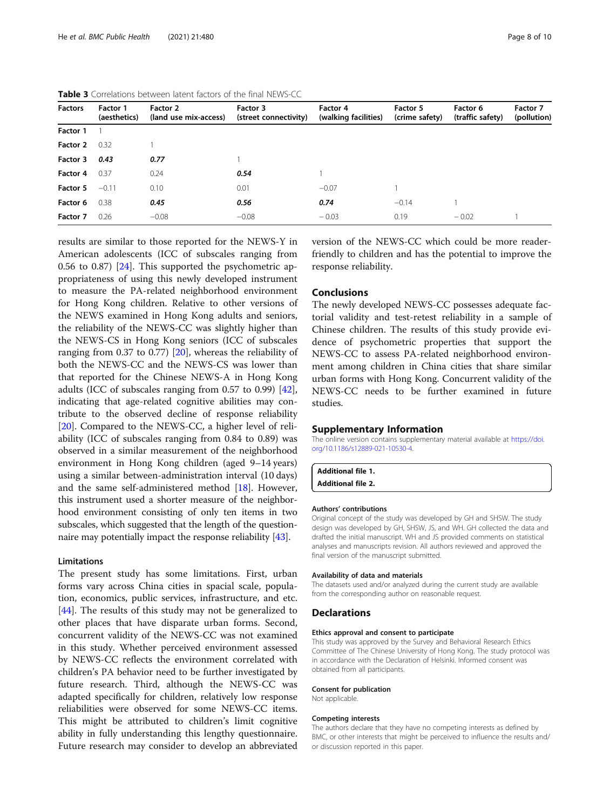| <b>Factors</b> | Factor 1<br>(aesthetics) | Factor 2<br>(land use mix-access) | Factor 3<br>(street connectivity) | Factor 4<br>(walking facilities) | <b>Factor 5</b><br>(crime safety) | Factor 6<br>(traffic safety) | Factor 7<br>(pollution) |
|----------------|--------------------------|-----------------------------------|-----------------------------------|----------------------------------|-----------------------------------|------------------------------|-------------------------|
| Factor 1       |                          |                                   |                                   |                                  |                                   |                              |                         |
| Factor 2       | 0.32                     |                                   |                                   |                                  |                                   |                              |                         |
| Factor 3       | 0.43                     | 0.77                              |                                   |                                  |                                   |                              |                         |
| Factor 4       | 0.37                     | 0.24                              | 0.54                              |                                  |                                   |                              |                         |
| Factor 5       | $-0.11$                  | 0.10                              | 0.01                              | $-0.07$                          |                                   |                              |                         |
| Factor 6       | 0.38                     | 0.45                              | 0.56                              | 0.74                             | $-0.14$                           |                              |                         |
| Factor 7       | 0.26                     | $-0.08$                           | $-0.08$                           | $-0.03$                          | 0.19                              | $-0.02$                      |                         |

<span id="page-7-0"></span>Table 3 Correlations between latent factors of the final NEWS-CC

results are similar to those reported for the NEWS-Y in American adolescents (ICC of subscales ranging from 0.56 to 0.87) [\[24](#page-8-0)]. This supported the psychometric appropriateness of using this newly developed instrument to measure the PA-related neighborhood environment for Hong Kong children. Relative to other versions of the NEWS examined in Hong Kong adults and seniors, the reliability of the NEWS-CC was slightly higher than the NEWS-CS in Hong Kong seniors (ICC of subscales ranging from 0.37 to 0.77) [\[20](#page-8-0)], whereas the reliability of both the NEWS-CC and the NEWS-CS was lower than that reported for the Chinese NEWS-A in Hong Kong adults (ICC of subscales ranging from 0.57 to 0.99) [\[42](#page-9-0)], indicating that age-related cognitive abilities may contribute to the observed decline of response reliability [[20\]](#page-8-0). Compared to the NEWS-CC, a higher level of reliability (ICC of subscales ranging from 0.84 to 0.89) was observed in a similar measurement of the neighborhood environment in Hong Kong children (aged 9–14 years) using a similar between-administration interval (10 days) and the same self-administered method [\[18](#page-8-0)]. However, this instrument used a shorter measure of the neighborhood environment consisting of only ten items in two subscales, which suggested that the length of the questionnaire may potentially impact the response reliability [\[43\]](#page-9-0).

#### Limitations

The present study has some limitations. First, urban forms vary across China cities in spacial scale, population, economics, public services, infrastructure, and etc. [[44\]](#page-9-0). The results of this study may not be generalized to other places that have disparate urban forms. Second, concurrent validity of the NEWS-CC was not examined in this study. Whether perceived environment assessed by NEWS-CC reflects the environment correlated with children's PA behavior need to be further investigated by future research. Third, although the NEWS-CC was adapted specifically for children, relatively low response reliabilities were observed for some NEWS-CC items. This might be attributed to children's limit cognitive ability in fully understanding this lengthy questionnaire. Future research may consider to develop an abbreviated version of the NEWS-CC which could be more readerfriendly to children and has the potential to improve the response reliability.

#### Conclusions

The newly developed NEWS-CC possesses adequate factorial validity and test-retest reliability in a sample of Chinese children. The results of this study provide evidence of psychometric properties that support the NEWS-CC to assess PA-related neighborhood environment among children in China cities that share similar urban forms with Hong Kong. Concurrent validity of the NEWS-CC needs to be further examined in future studies.

#### Supplementary Information

The online version contains supplementary material available at [https://doi.](https://doi.org/10.1186/s12889-021-10530-4) [org/10.1186/s12889-021-10530-4.](https://doi.org/10.1186/s12889-021-10530-4)

Additional file 1. Additional file 2.

### Authors' contributions

Original concept of the study was developed by GH and SHSW. The study design was developed by GH, SHSW, JS, and WH. GH collected the data and drafted the initial manuscript. WH and JS provided comments on statistical analyses and manuscripts revision. All authors reviewed and approved the final version of the manuscript submitted.

#### Availability of data and materials

The datasets used and/or analyzed during the current study are available from the corresponding author on reasonable request.

#### **Declarations**

#### Ethics approval and consent to participate

This study was approved by the Survey and Behavioral Research Ethics Committee of The Chinese University of Hong Kong. The study protocol was in accordance with the Declaration of Helsinki. Informed consent was obtained from all participants.

#### Consent for publication

Not applicable.

#### Competing interests

The authors declare that they have no competing interests as defined by BMC, or other interests that might be perceived to influence the results and/ or discussion reported in this paper.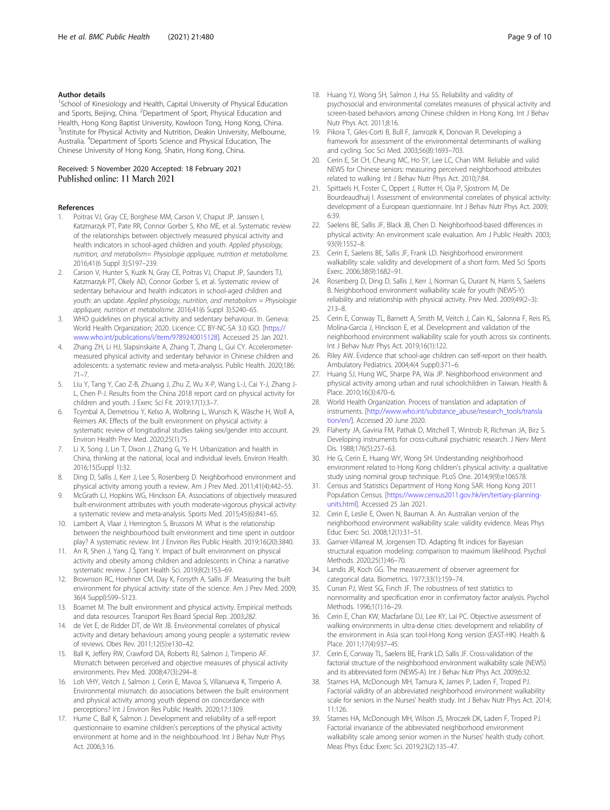#### <span id="page-8-0"></span>Author details

<sup>1</sup>School of Kinesiology and Health, Capital University of Physical Education and Sports, Beijing, China. <sup>2</sup>Department of Sport, Physical Education and Health, Hong Kong Baptist University, Kowloon Tong, Hong Kong, China. <sup>3</sup>Institute for Physical Activity and Nutrition, Deakin University, Melbourne, Australia. <sup>4</sup>Department of Sports Science and Physical Education, The Chinese University of Hong Kong, Shatin, Hong Kong, China.

# Received: 5 November 2020 Accepted: 18 February 2021

#### References

- 1. Poitras VJ, Gray CE, Borghese MM, Carson V, Chaput JP, Janssen I, Katzmarzyk PT, Pate RR, Connor Gorber S, Kho ME, et al. Systematic review of the relationships between objectively measured physical activity and health indicators in school-aged children and youth. Applied physiology, nutrition, and metabolism= Physiologie appliquee, nutrition et metabolisme. 2016;41(6 Suppl 3):S197–239.
- 2. Carson V, Hunter S, Kuzik N, Gray CE, Poitras VJ, Chaput JP, Saunders TJ, Katzmarzyk PT, Okely AD, Connor Gorber S, et al. Systematic review of sedentary behaviour and health indicators in school-aged children and youth: an update. Applied physiology, nutrition, and metabolism = Physiologie appliquee, nutrition et metabolisme. 2016;41(6 Suppl 3):S240–65.
- WHO guidelines on physical activity and sedentary behaviour. In. Geneva: World Health Organization; 2020. Licence: CC BY-NC-SA 3.0 IGO. [\[https://](https://www.who.int/publications/i/item/9789240015128) [www.who.int/publications/i/item/9789240015128](https://www.who.int/publications/i/item/9789240015128)]. Accessed 25 Jan 2021.
- 4. Zhang ZH, Li HJ, Slapsinskaite A, Zhang T, Zhang L, Gui CY. Accelerometermeasured physical activity and sedentary behavior in Chinese children and adolescents: a systematic review and meta-analysis. Public Health. 2020;186: 71–7.
- 5. Liu Y, Tang Y, Cao Z-B, Zhuang J, Zhu Z, Wu X-P, Wang L-J, Cai Y-J, Zhang J-L, Chen P-J. Results from the China 2018 report card on physical activity for children and youth. J Exerc Sci Fit. 2019;17(1):3–7.
- 6. Tcymbal A, Demetriou Y, Kelso A, Wolbring L, Wunsch K, Wäsche H, Woll A, Reimers AK. Effects of the built environment on physical activity: a systematic review of longitudinal studies taking sex/gender into account. Environ Health Prev Med. 2020;25(1):75.
- 7. Li X, Song J, Lin T, Dixon J, Zhang G, Ye H. Urbanization and health in China, thinking at the national, local and individual levels. Environ Health. 2016;15(Suppl 1):32.
- 8. Ding D, Sallis J, Kerr J, Lee S, Rosenberg D. Neighborhood environment and physical activity among youth a review. Am J Prev Med. 2011;41(4):442–55.
- McGrath LJ, Hopkins WG, Hinckson EA. Associations of objectively measured built-environment attributes with youth moderate-vigorous physical activity: a systematic review and meta-analysis. Sports Med. 2015;45(6):841–65.
- 10. Lambert A, Vlaar J, Herrington S, Brussoni M. What is the relationship between the neighbourhood built environment and time spent in outdoor play? A systematic review. Int J Environ Res Public Health. 2019;16(20):3840.
- 11. An R, Shen J, Yang Q, Yang Y. Impact of built environment on physical activity and obesity among children and adolescents in China: a narrative systematic review. J Sport Health Sci. 2019;8(2):153–69.
- 12. Brownson RC, Hoehner CM, Day K, Forsyth A, Sallis JF. Measuring the built environment for physical activity: state of the science. Am J Prev Med. 2009; 36(4 Suppl):S99–S123.
- 13. Boarnet M. The built environment and physical activity. Empirical methods and data resources. Transport Res Board Special Rep. 2003;282.
- 14. de Vet E, de Ridder DT, de Wit JB. Environmental correlates of physical activity and dietary behaviours among young people: a systematic review of reviews. Obes Rev. 2011;12(5):e130–42.
- 15. Ball K, Jeffery RW, Crawford DA, Roberts RJ, Salmon J, Timperio AF. Mismatch between perceived and objective measures of physical activity environments. Prev Med. 2008;47(3):294–8.
- 16. Loh VHY, Veitch J, Salmon J, Cerin E, Mavoa S, Villanueva K, Timperio A. Environmental mismatch: do associations between the built environment and physical activity among youth depend on concordance with perceptions? Int J Environ Res Public Health. 2020;17:1309.
- 17. Hume C, Ball K, Salmon J. Development and reliability of a self-report questionnaire to examine children's perceptions of the physical activity environment at home and in the neighbourhood. Int J Behav Nutr Phys Act. 2006;3:16.
- 18. Huang YJ, Wong SH, Salmon J, Hui SS. Reliability and validity of psychosocial and environmental correlates measures of physical activity and screen-based behaviors among Chinese children in Hong Kong. Int J Behav Nutr Phys Act. 2011;8:16.
- 19. Pikora T, Giles-Corti B, Bull F, Jamrozik K, Donovan R. Developing a framework for assessment of the environmental determinants of walking and cycling. Soc Sci Med. 2003;56(8):1693–703.
- 20. Cerin E, Sit CH, Cheung MC, Ho SY, Lee LC, Chan WM. Reliable and valid NEWS for Chinese seniors: measuring perceived neighborhood attributes related to walking. Int J Behav Nutr Phys Act. 2010;7:84.
- 21. Spittaels H, Foster C, Oppert J, Rutter H, Oja P, Sjostrom M, De Bourdeaudhuij I. Assessment of environmental correlates of physical activity: development of a European questionnaire. Int J Behav Nutr Phys Act. 2009; 6:39.
- 22. Saelens BE, Sallis JF, Black JB, Chen D. Neighborhood-based differences in physical activity: An environment scale evaluation. Am J Public Health. 2003; 93(9):1552–8.
- 23. Cerin E, Saelens BE, Sallis JF, Frank LD. Neighborhood environment walkability scale: validity and development of a short form. Med Sci Sports Exerc. 2006;38(9):1682–91.
- 24. Rosenberg D, Ding D, Sallis J, Kerr J, Norman G, Durant N, Harris S, Saelens B. Neighborhood environment walkability scale for youth (NEWS-Y): reliability and relationship with physical activity. Prev Med. 2009;49(2–3): 213–8.
- 25. Cerin E, Conway TL, Barnett A, Smith M, Veitch J, Cain KL, Salonna F, Reis RS, Molina-Garcia J, Hinckson E, et al. Development and validation of the neighborhood environment walkability scale for youth across six continents. Int J Behav Nutr Phys Act. 2019;16(1):122.
- 26. Riley AW. Evidence that school-age children can self-report on their health. Ambulatory Pediatrics. 2004;4(4 Suppl):371–6.
- 27. Huang SJ, Hung WC, Sharpe PA, Wai JP. Neighborhood environment and physical activity among urban and rural schoolchildren in Taiwan. Health & Place. 2010;16(3):470–6.
- 28. World Health Organization. Process of translation and adaptation of instruments. [\[http://www.who.int/substance\\_abuse/research\\_tools/transla](http://www.who.int/substance_abuse/research_tools/translation/en/) [tion/en/\]](http://www.who.int/substance_abuse/research_tools/translation/en/). Accessed 20 June 2020.
- 29. Flaherty JA, Gaviria FM, Pathak D, Mitchell T, Wintrob R, Richman JA, Birz S. Developing instruments for cross-cultural psychiatric research. J Nerv Ment Dis. 1988;176(5):257–63.
- 30. He G, Cerin E, Huang WY, Wong SH. Understanding neighborhood environment related to Hong Kong children's physical activity: a qualitative study using nominal group technique. PLoS One. 2014;9(9):e106578.
- 31. Census and Statistics Department of Hong Kong SAR. Hong Kong 2011 Population Census. [[https://www.census2011.gov.hk/en/tertiary-planning](https://www.census2011.gov.hk/en/tertiary-planning-units.html)[units.html\]](https://www.census2011.gov.hk/en/tertiary-planning-units.html). Accessed 25 Jan 2021.
- 32. Cerin E, Leslie E, Owen N, Bauman A. An Australian version of the neighborhood environment walkability scale: validity evidence. Meas Phys Educ Exerc Sci. 2008;12(1):31–51.
- 33. Garnier-Villarreal M, Jorgensen TD. Adapting fit indices for Bayesian structural equation modeling: comparison to maximum likelihood. Psychol Methods. 2020;25(1):46–70.
- 34. Landis JR, Koch GG. The measurement of observer agreement for categorical data. Biometrics. 1977;33(1):159–74.
- 35. Curran PJ, West SG, Finch JF. The robustness of test statistics to nonnormality and specification error in confirmatory factor analysis. Psychol Methods. 1996;1(1):16–29.
- 36. Cerin E, Chan KW, Macfarlane DJ, Lee KY, Lai PC. Objective assessment of walking environments in ultra-dense cities: development and reliability of the environment in Asia scan tool-Hong Kong version (EAST-HK). Health & Place. 2011;17(4):937–45.
- 37. Cerin E, Conway TL, Saelens BE, Frank LD, Sallis JF. Cross-validation of the factorial structure of the neighborhood environment walkability scale (NEWS) and its abbreviated form (NEWS-A). Int J Behav Nutr Phys Act. 2009;6:32.
- 38. Starnes HA, McDonough MH, Tamura K, James P, Laden F, Troped PJ. Factorial validity of an abbreviated neighborhood environment walkability scale for seniors in the Nurses' health study. Int J Behav Nutr Phys Act. 2014; 11:126.
- 39. Starnes HA, McDonough MH, Wilson JS, Mroczek DK, Laden F, Troped PJ. Factorial invariance of the abbreviated neighborhood environment walkability scale among senior women in the Nurses' health study cohort. Meas Phys Educ Exerc Sci. 2019;23(2):135–47.